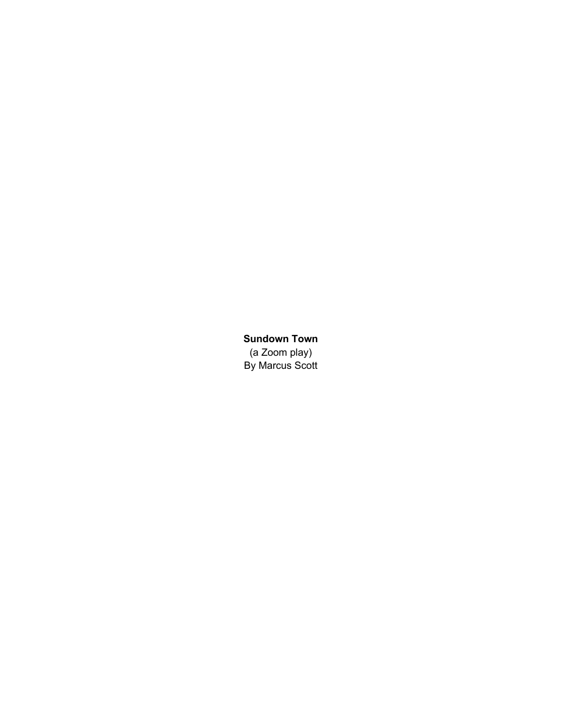**Sundown Town** (a Zoom play) By Marcus Scott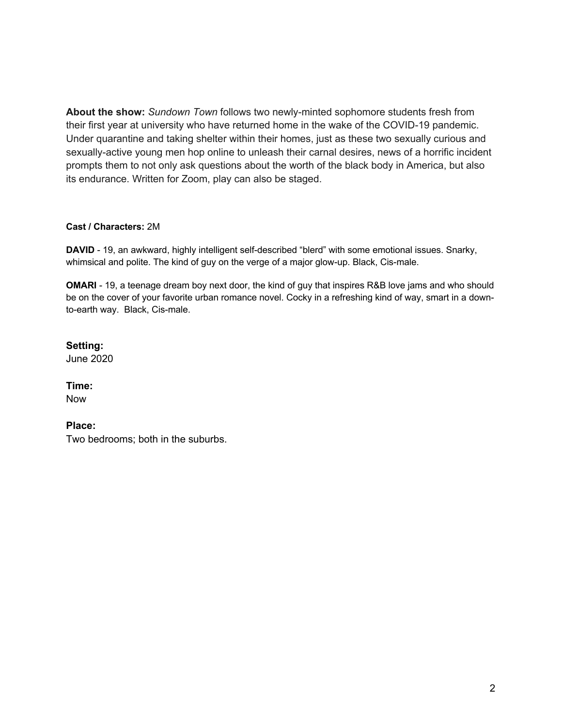**About the show:** *Sundown Town* follows two newly-minted sophomore students fresh from their first year at university who have returned home in the wake of the COVID-19 pandemic. Under quarantine and taking shelter within their homes, just as these two sexually curious and sexually-active young men hop online to unleash their carnal desires, news of a horrific incident prompts them to not only ask questions about the worth of the black body in America, but also its endurance. Written for Zoom, play can also be staged.

#### **Cast / Characters:** 2M

**DAVID** - 19, an awkward, highly intelligent self-described "blerd" with some emotional issues. Snarky, whimsical and polite. The kind of guy on the verge of a major glow-up. Black, Cis-male.

**OMARI** - 19, a teenage dream boy next door, the kind of guy that inspires R&B love jams and who should be on the cover of your favorite urban romance novel. Cocky in a refreshing kind of way, smart in a downto-earth way. Black, Cis-male.

### **Setting:**

June 2020

#### **Time:**

Now

#### **Place:**

Two bedrooms; both in the suburbs.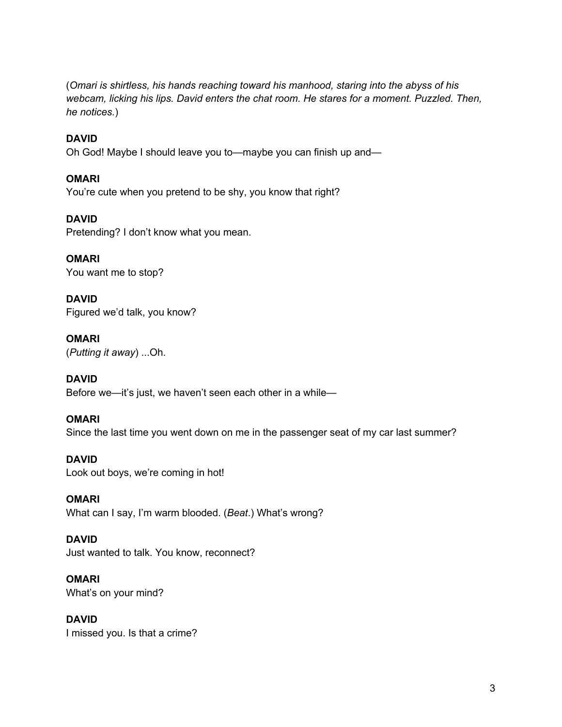(*Omari is shirtless, his hands reaching toward his manhood, staring into the abyss of his webcam, licking his lips. David enters the chat room. He stares for a moment. Puzzled. Then, he notices.*)

### **DAVID**

Oh God! Maybe I should leave you to—maybe you can finish up and—

**OMARI**

You're cute when you pretend to be shy, you know that right?

**DAVID**

Pretending? I don't know what you mean.

**OMARI** You want me to stop?

**DAVID** Figured we'd talk, you know?

**OMARI** (*Putting it away*) ...Oh.

#### **DAVID**

Before we—it's just, we haven't seen each other in a while—

#### **OMARI**

Since the last time you went down on me in the passenger seat of my car last summer?

#### **DAVID**

Look out boys, we're coming in hot!

#### **OMARI**

What can I say, I'm warm blooded. (*Beat*.) What's wrong?

#### **DAVID**

Just wanted to talk. You know, reconnect?

## **OMARI**

What's on your mind?

#### **DAVID**

I missed you. Is that a crime?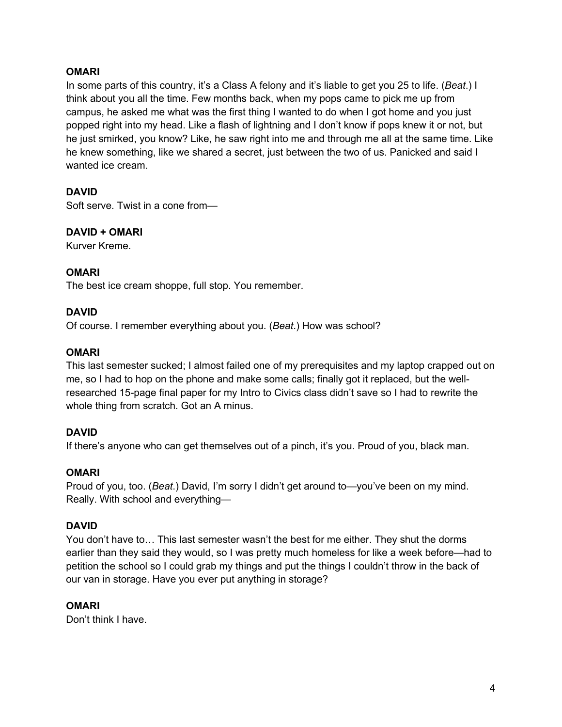#### **OMARI**

In some parts of this country, it's a Class A felony and it's liable to get you 25 to life. (*Beat*.) I think about you all the time. Few months back, when my pops came to pick me up from campus, he asked me what was the first thing I wanted to do when I got home and you just popped right into my head. Like a flash of lightning and I don't know if pops knew it or not, but he just smirked, you know? Like, he saw right into me and through me all at the same time. Like he knew something, like we shared a secret, just between the two of us. Panicked and said I wanted ice cream.

### **DAVID**

Soft serve. Twist in a cone from—

### **DAVID + OMARI**

Kurver Kreme.

### **OMARI**

The best ice cream shoppe, full stop. You remember.

### **DAVID**

Of course. I remember everything about you. (*Beat*.) How was school?

### **OMARI**

This last semester sucked; I almost failed one of my prerequisites and my laptop crapped out on me, so I had to hop on the phone and make some calls; finally got it replaced, but the wellresearched 15-page final paper for my Intro to Civics class didn't save so I had to rewrite the whole thing from scratch. Got an A minus.

### **DAVID**

If there's anyone who can get themselves out of a pinch, it's you. Proud of you, black man.

### **OMARI**

Proud of you, too. (*Beat*.) David, I'm sorry I didn't get around to—you've been on my mind. Really. With school and everything—

### **DAVID**

You don't have to… This last semester wasn't the best for me either. They shut the dorms earlier than they said they would, so I was pretty much homeless for like a week before—had to petition the school so I could grab my things and put the things I couldn't throw in the back of our van in storage. Have you ever put anything in storage?

### **OMARI**

Don't think I have.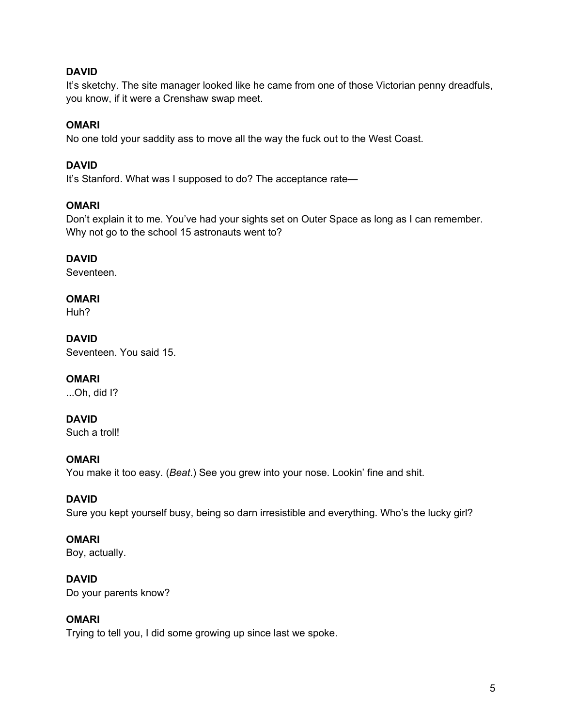It's sketchy. The site manager looked like he came from one of those Victorian penny dreadfuls, you know, if it were a Crenshaw swap meet.

### **OMARI**

No one told your saddity ass to move all the way the fuck out to the West Coast.

### **DAVID**

It's Stanford. What was I supposed to do? The acceptance rate—

#### **OMARI**

Don't explain it to me. You've had your sights set on Outer Space as long as I can remember. Why not go to the school 15 astronauts went to?

### **DAVID**

Seventeen.

#### **OMARI**

Huh?

# **DAVID**

Seventeen. You said 15.

### **OMARI**

...Oh, did I?

#### **DAVID**

Such a troll!

#### **OMARI**

You make it too easy. (*Beat*.) See you grew into your nose. Lookin' fine and shit.

#### **DAVID**

Sure you kept yourself busy, being so darn irresistible and everything. Who's the lucky girl?

#### **OMARI**

Boy, actually.

#### **DAVID**

Do your parents know?

#### **OMARI**

Trying to tell you, I did some growing up since last we spoke.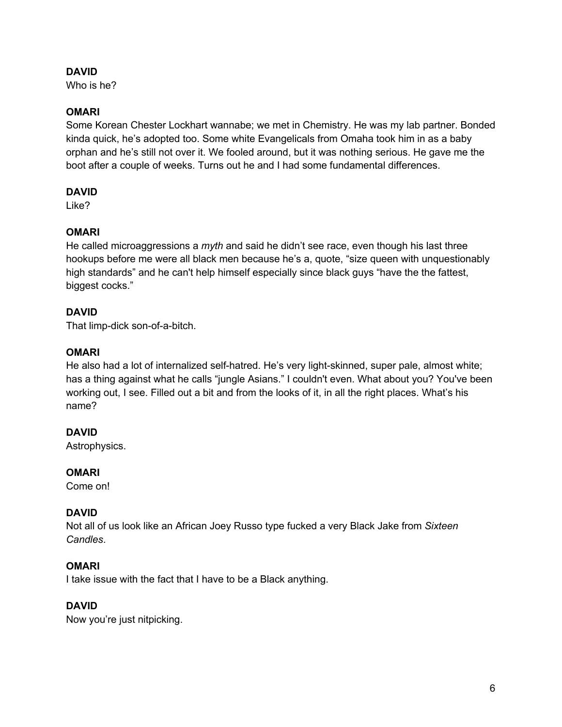Who is he?

### **OMARI**

Some Korean Chester Lockhart wannabe; we met in Chemistry. He was my lab partner. Bonded kinda quick, he's adopted too. Some white Evangelicals from Omaha took him in as a baby orphan and he's still not over it. We fooled around, but it was nothing serious. He gave me the boot after a couple of weeks. Turns out he and I had some fundamental differences.

### **DAVID**

Like?

### **OMARI**

He called microaggressions a *myth* and said he didn't see race, even though his last three hookups before me were all black men because he's a, quote, "size queen with unquestionably high standards" and he can't help himself especially since black guys "have the the fattest, biggest cocks."

### **DAVID**

That limp-dick son-of-a-bitch.

### **OMARI**

He also had a lot of internalized self-hatred. He's very light-skinned, super pale, almost white; has a thing against what he calls "jungle Asians." I couldn't even. What about you? You've been working out, I see. Filled out a bit and from the looks of it, in all the right places. What's his name?

### **DAVID**

Astrophysics.

### **OMARI**

Come on!

### **DAVID**

Not all of us look like an African Joey Russo type fucked a very Black Jake from *Sixteen Candles*.

### **OMARI**

I take issue with the fact that I have to be a Black anything.

### **DAVID**

Now you're just nitpicking.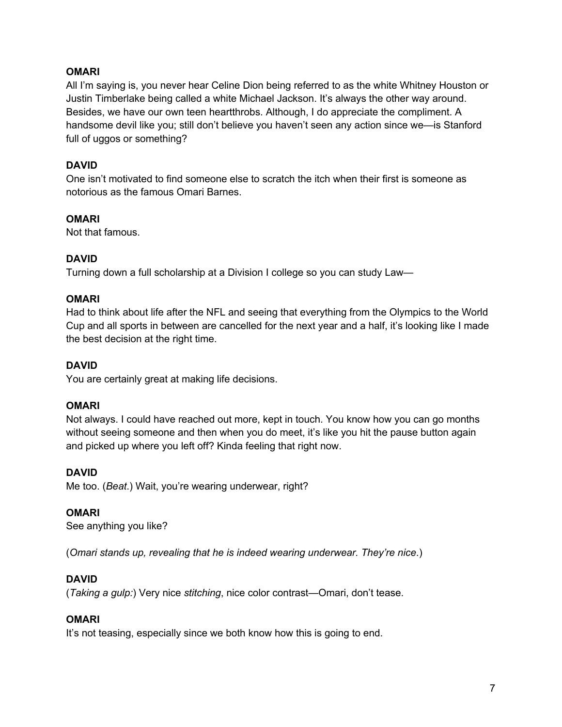#### **OMARI**

All I'm saying is, you never hear Celine Dion being referred to as the white Whitney Houston or Justin Timberlake being called a white Michael Jackson. It's always the other way around. Besides, we have our own teen heartthrobs. Although, I do appreciate the compliment. A handsome devil like you; still don't believe you haven't seen any action since we—is Stanford full of uggos or something?

### **DAVID**

One isn't motivated to find someone else to scratch the itch when their first is someone as notorious as the famous Omari Barnes.

#### **OMARI**

Not that famous.

### **DAVID**

Turning down a full scholarship at a Division I college so you can study Law—

### **OMARI**

Had to think about life after the NFL and seeing that everything from the Olympics to the World Cup and all sports in between are cancelled for the next year and a half, it's looking like I made the best decision at the right time.

### **DAVID**

You are certainly great at making life decisions.

#### **OMARI**

Not always. I could have reached out more, kept in touch. You know how you can go months without seeing someone and then when you do meet, it's like you hit the pause button again and picked up where you left off? Kinda feeling that right now.

#### **DAVID**

Me too. (*Beat*.) Wait, you're wearing underwear, right?

#### **OMARI**

See anything you like?

(*Omari stands up, revealing that he is indeed wearing underwear. They're nice*.)

#### **DAVID**

(*Taking a gulp:*) Very nice *stitching*, nice color contrast—Omari, don't tease.

#### **OMARI**

It's not teasing, especially since we both know how this is going to end.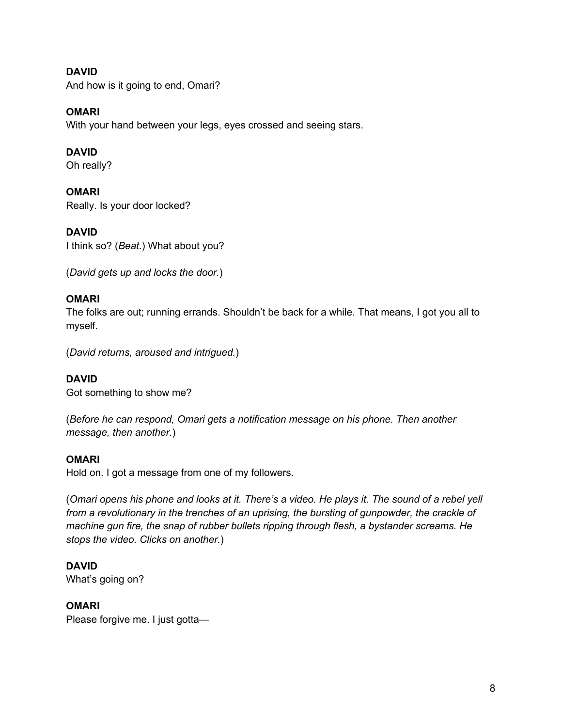**DAVID** And how is it going to end, Omari?

### **OMARI**

With your hand between your legs, eyes crossed and seeing stars.

### **DAVID**

Oh really?

**OMARI** Really. Is your door locked?

### **DAVID**

I think so? (*Beat*.) What about you?

(*David gets up and locks the door.*)

### **OMARI**

The folks are out; running errands. Shouldn't be back for a while. That means, I got you all to myself.

(*David returns, aroused and intrigued.*)

### **DAVID**

Got something to show me?

(*Before he can respond, Omari gets a notification message on his phone. Then another message, then another.*)

### **OMARI**

Hold on. I got a message from one of my followers.

(*Omari opens his phone and looks at it. There's a video. He plays it. The sound of a rebel yell from a revolutionary in the trenches of an uprising, the bursting of gunpowder, the crackle of machine gun fire, the snap of rubber bullets ripping through flesh, a bystander screams. He stops the video. Clicks on another.*)

**DAVID** What's going on?

### **OMARI**

Please forgive me. I just gotta—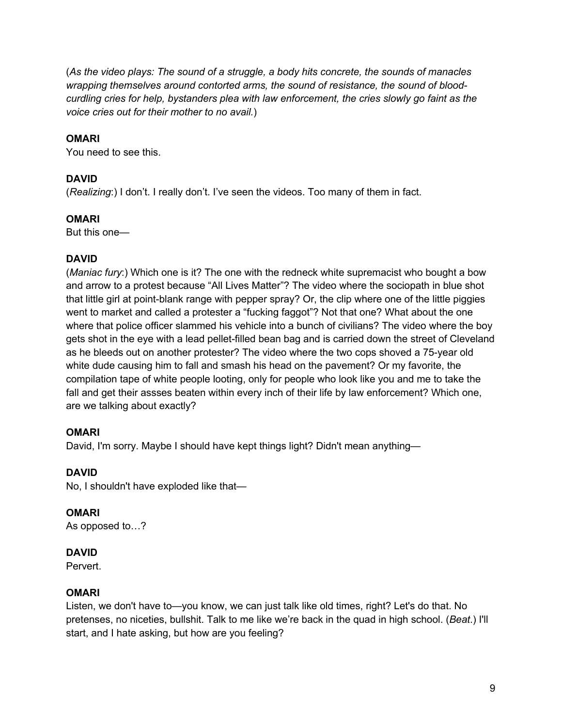(*As the video plays: The sound of a struggle, a body hits concrete, the sounds of manacles wrapping themselves around contorted arms, the sound of resistance, the sound of bloodcurdling cries for help, bystanders plea with law enforcement, the cries slowly go faint as the voice cries out for their mother to no avail.*)

### **OMARI**

You need to see this.

### **DAVID**

(*Realizing*:) I don't. I really don't. I've seen the videos. Too many of them in fact.

### **OMARI**

But this one—

### **DAVID**

(*Maniac fury*:) Which one is it? The one with the redneck white supremacist who bought a bow and arrow to a protest because "All Lives Matter"? The video where the sociopath in blue shot that little girl at point-blank range with pepper spray? Or, the clip where one of the little piggies went to market and called a protester a "fucking faggot"? Not that one? What about the one where that police officer slammed his vehicle into a bunch of civilians? The video where the boy gets shot in the eye with a lead pellet-filled bean bag and is carried down the street of Cleveland as he bleeds out on another protester? The video where the two cops shoved a 75-year old white dude causing him to fall and smash his head on the pavement? Or my favorite, the compilation tape of white people looting, only for people who look like you and me to take the fall and get their assses beaten within every inch of their life by law enforcement? Which one, are we talking about exactly?

### **OMARI**

David, I'm sorry. Maybe I should have kept things light? Didn't mean anything—

### **DAVID**

No, I shouldn't have exploded like that—

**OMARI** As opposed to…?

### **DAVID**

Pervert.

### **OMARI**

Listen, we don't have to—you know, we can just talk like old times, right? Let's do that. No pretenses, no niceties, bullshit. Talk to me like we're back in the quad in high school. (*Beat*.) I'll start, and I hate asking, but how are you feeling?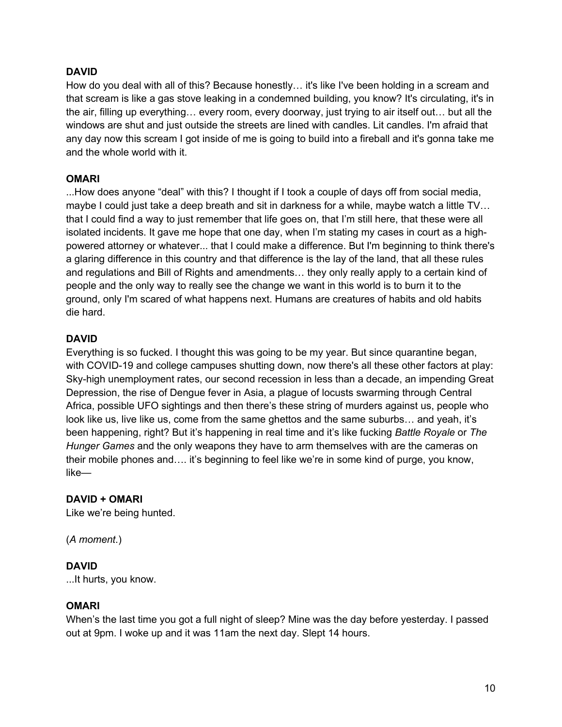How do you deal with all of this? Because honestly… it's like I've been holding in a scream and that scream is like a gas stove leaking in a condemned building, you know? It's circulating, it's in the air, filling up everything… every room, every doorway, just trying to air itself out… but all the windows are shut and just outside the streets are lined with candles. Lit candles. I'm afraid that any day now this scream I got inside of me is going to build into a fireball and it's gonna take me and the whole world with it.

#### **OMARI**

...How does anyone "deal" with this? I thought if I took a couple of days off from social media, maybe I could just take a deep breath and sit in darkness for a while, maybe watch a little TV… that I could find a way to just remember that life goes on, that I'm still here, that these were all isolated incidents. It gave me hope that one day, when I'm stating my cases in court as a highpowered attorney or whatever... that I could make a difference. But I'm beginning to think there's a glaring difference in this country and that difference is the lay of the land, that all these rules and regulations and Bill of Rights and amendments… they only really apply to a certain kind of people and the only way to really see the change we want in this world is to burn it to the ground, only I'm scared of what happens next. Humans are creatures of habits and old habits die hard.

#### **DAVID**

Everything is so fucked. I thought this was going to be my year. But since quarantine began, with COVID-19 and college campuses shutting down, now there's all these other factors at play: Sky-high unemployment rates, our second recession in less than a decade, an impending Great Depression, the rise of Dengue fever in Asia, a plague of locusts swarming through Central Africa, possible UFO sightings and then there's these string of murders against us, people who look like us, live like us, come from the same ghettos and the same suburbs… and yeah, it's been happening, right? But it's happening in real time and it's like fucking *Battle Royale* or *The Hunger Games* and the only weapons they have to arm themselves with are the cameras on their mobile phones and…. it's beginning to feel like we're in some kind of purge, you know, like—

#### **DAVID + OMARI**

Like we're being hunted.

(*A moment*.)

#### **DAVID**

...It hurts, you know.

#### **OMARI**

When's the last time you got a full night of sleep? Mine was the day before yesterday. I passed out at 9pm. I woke up and it was 11am the next day. Slept 14 hours.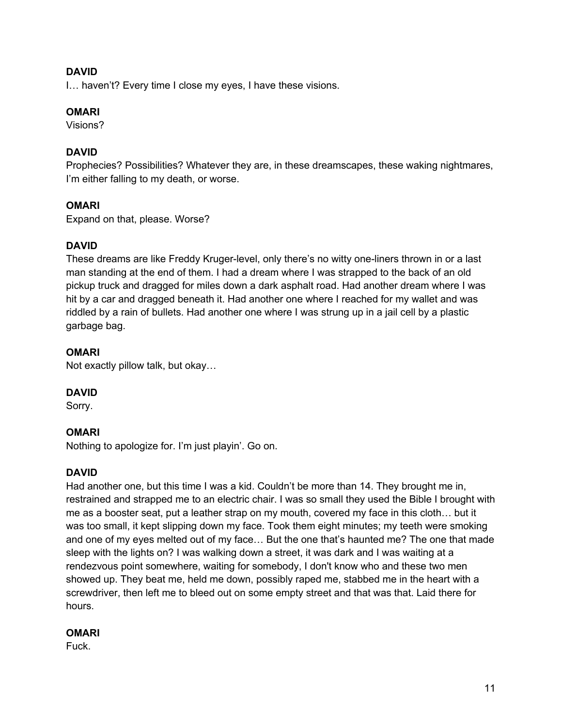I… haven't? Every time I close my eyes, I have these visions.

#### **OMARI**

Visions?

### **DAVID**

Prophecies? Possibilities? Whatever they are, in these dreamscapes, these waking nightmares, I'm either falling to my death, or worse.

#### **OMARI**

Expand on that, please. Worse?

#### **DAVID**

These dreams are like Freddy Kruger-level, only there's no witty one-liners thrown in or a last man standing at the end of them. I had a dream where I was strapped to the back of an old pickup truck and dragged for miles down a dark asphalt road. Had another dream where I was hit by a car and dragged beneath it. Had another one where I reached for my wallet and was riddled by a rain of bullets. Had another one where I was strung up in a jail cell by a plastic garbage bag.

#### **OMARI**

Not exactly pillow talk, but okay…

#### **DAVID**

Sorry.

#### **OMARI**

Nothing to apologize for. I'm just playin'. Go on.

#### **DAVID**

Had another one, but this time I was a kid. Couldn't be more than 14. They brought me in, restrained and strapped me to an electric chair. I was so small they used the Bible I brought with me as a booster seat, put a leather strap on my mouth, covered my face in this cloth… but it was too small, it kept slipping down my face. Took them eight minutes; my teeth were smoking and one of my eyes melted out of my face… But the one that's haunted me? The one that made sleep with the lights on? I was walking down a street, it was dark and I was waiting at a rendezvous point somewhere, waiting for somebody, I don't know who and these two men showed up. They beat me, held me down, possibly raped me, stabbed me in the heart with a screwdriver, then left me to bleed out on some empty street and that was that. Laid there for hours.

### **OMARI**

Fuck.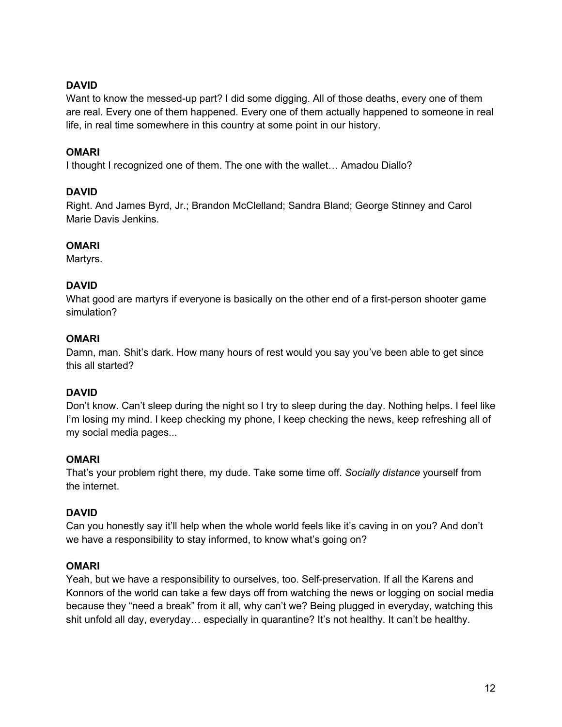Want to know the messed-up part? I did some digging. All of those deaths, every one of them are real. Every one of them happened. Every one of them actually happened to someone in real life, in real time somewhere in this country at some point in our history.

### **OMARI**

I thought I recognized one of them. The one with the wallet… Amadou Diallo?

### **DAVID**

Right. And James Byrd, Jr.; Brandon McClelland; Sandra Bland; George Stinney and Carol Marie Davis Jenkins.

### **OMARI**

Martyrs.

### **DAVID**

What good are martyrs if everyone is basically on the other end of a first-person shooter game simulation?

### **OMARI**

Damn, man. Shit's dark. How many hours of rest would you say you've been able to get since this all started?

### **DAVID**

Don't know. Can't sleep during the night so I try to sleep during the day. Nothing helps. I feel like I'm losing my mind. I keep checking my phone, I keep checking the news, keep refreshing all of my social media pages...

#### **OMARI**

That's your problem right there, my dude. Take some time off. *Socially distance* yourself from the internet.

### **DAVID**

Can you honestly say it'll help when the whole world feels like it's caving in on you? And don't we have a responsibility to stay informed, to know what's going on?

#### **OMARI**

Yeah, but we have a responsibility to ourselves, too. Self-preservation. If all the Karens and Konnors of the world can take a few days off from watching the news or logging on social media because they "need a break" from it all, why can't we? Being plugged in everyday, watching this shit unfold all day, everyday… especially in quarantine? It's not healthy. It can't be healthy.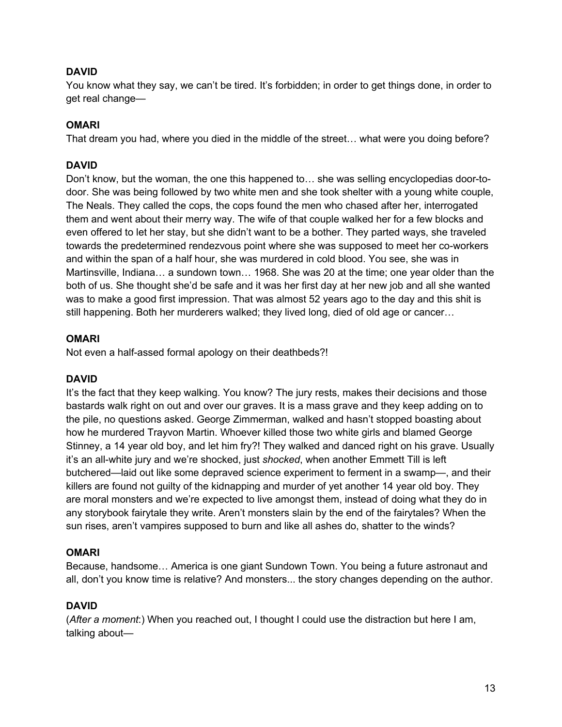You know what they say, we can't be tired. It's forbidden; in order to get things done, in order to get real change—

### **OMARI**

That dream you had, where you died in the middle of the street… what were you doing before?

### **DAVID**

Don't know, but the woman, the one this happened to… she was selling encyclopedias door-todoor. She was being followed by two white men and she took shelter with a young white couple, The Neals. They called the cops, the cops found the men who chased after her, interrogated them and went about their merry way. The wife of that couple walked her for a few blocks and even offered to let her stay, but she didn't want to be a bother. They parted ways, she traveled towards the predetermined rendezvous point where she was supposed to meet her co-workers and within the span of a half hour, she was murdered in cold blood. You see, she was in Martinsville, Indiana… a sundown town… 1968. She was 20 at the time; one year older than the both of us. She thought she'd be safe and it was her first day at her new job and all she wanted was to make a good first impression. That was almost 52 years ago to the day and this shit is still happening. Both her murderers walked; they lived long, died of old age or cancer…

#### **OMARI**

Not even a half-assed formal apology on their deathbeds?!

#### **DAVID**

It's the fact that they keep walking. You know? The jury rests, makes their decisions and those bastards walk right on out and over our graves. It is a mass grave and they keep adding on to the pile, no questions asked. George Zimmerman, walked and hasn't stopped boasting about how he murdered Trayvon Martin. Whoever killed those two white girls and blamed George Stinney, a 14 year old boy, and let him fry?! They walked and danced right on his grave. Usually it's an all-white jury and we're shocked, just *shocked*, when another Emmett Till is left butchered—laid out like some depraved science experiment to ferment in a swamp—, and their killers are found not guilty of the kidnapping and murder of yet another 14 year old boy. They are moral monsters and we're expected to live amongst them, instead of doing what they do in any storybook fairytale they write. Aren't monsters slain by the end of the fairytales? When the sun rises, aren't vampires supposed to burn and like all ashes do, shatter to the winds?

#### **OMARI**

Because, handsome… America is one giant Sundown Town. You being a future astronaut and all, don't you know time is relative? And monsters... the story changes depending on the author.

### **DAVID**

(*After a moment*:) When you reached out, I thought I could use the distraction but here I am, talking about—